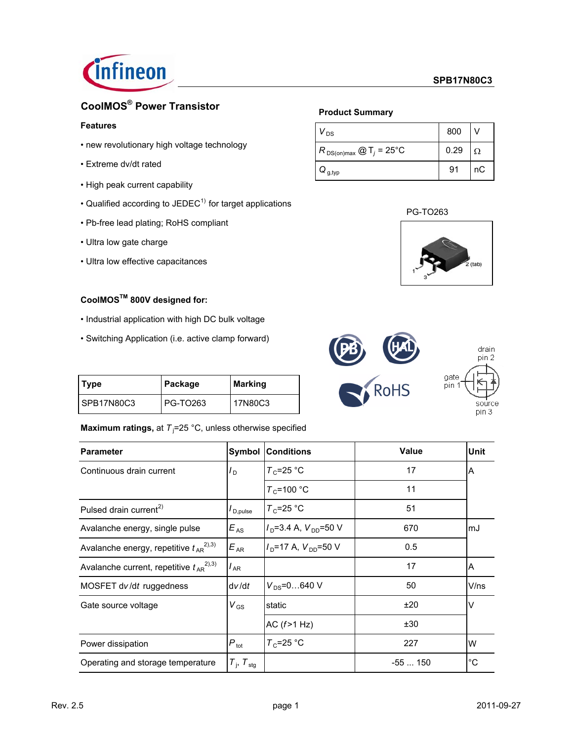

# **CoolMOS® Power Transistor**

### **Features**

- new revolutionary high voltage technology
- Extreme dv/dt rated
- High peak current capability
- Qualified according to  $JEDEC<sup>1</sup>$  for target applications
- Pb-free lead plating; RoHS compliant
- Ultra low gate charge
- Ultra low effective capacitances

# **CoolMOSTM 800V designed for:**

- Industrial application with high DC bulk voltage
- Switching Application (i.e. active clamp forward)

| Type        | Package  | Marking   |
|-------------|----------|-----------|
| ISPB17N80C3 | PG-TO263 | l 17N80C3 |

# **Maximum ratings, at T**<sub>i</sub>=25 °C, unless otherwise specified

| <b>Parameter</b>                                | Symbol                            | <b>Conditions</b>                           | <b>Value</b> | <b>Unit</b> |
|-------------------------------------------------|-----------------------------------|---------------------------------------------|--------------|-------------|
| Continuous drain current                        | $I_D$                             | $T_c$ =25 °C                                | 17           | A           |
|                                                 |                                   | $T_c$ =100 °C                               | 11           |             |
| Pulsed drain current <sup>2)</sup>              | $I_{\mathsf{D},\mathsf{pulse}}$   | $T_c = 25$ °C                               | 51           |             |
| Avalanche energy, single pulse                  | $E_{AS}$                          | $I_D$ =3.4 A, $V_{DD}$ =50 V                | 670          | lmJ         |
| Avalanche energy, repetitive $t_{AR}^{(2),3)}$  | $E_{AR}$                          | $I_{\text{D}}$ =17 A, $V_{\text{DD}}$ =50 V | 0.5          |             |
| Avalanche current, repetitive $t_{AR}^{(2),3)}$ | $I_{AR}$                          |                                             | 17           | ΙA          |
| MOSFET dv/dt ruggedness                         | dv/dt                             | $V_{DS} = 0640$ V                           | 50           | V/ns        |
| Gate source voltage                             | $V_{\rm GS}$                      | static                                      | ±20          | V           |
|                                                 |                                   | AC $(f>1 Hz)$                               | ±30          |             |
| Power dissipation                               | $P_{\text{tot}}$                  | $T_c = 25$ °C                               | 227          | W           |
| Operating and storage temperature               | $T_{\text{I}}$ , $T_{\text{stg}}$ |                                             | $-55150$     | $^{\circ}C$ |

### **Product Summary**

| ' DS                                    | 800  |    |
|-----------------------------------------|------|----|
| $R_{DS(on)max}$ @ T <sub>j</sub> = 25°C | 0.29 | Ω  |
| $\mathbf{Q}_{\mathsf{g},\mathsf{typ}}$  | 91   | nС |





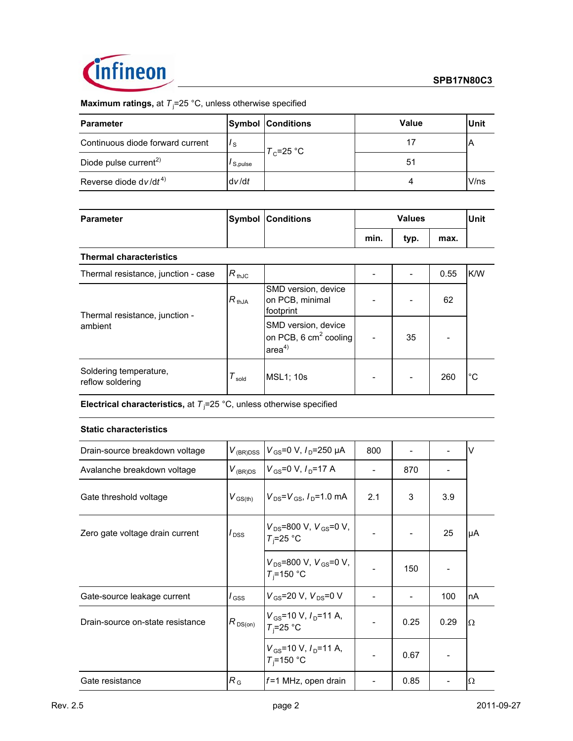

**Maximum ratings, at T**<sub>j</sub>=25 °C, unless otherwise specified

| <b>Parameter</b>                  |         | <b>Symbol Conditions</b> | Value | <b>Unit</b> |
|-----------------------------------|---------|--------------------------|-------|-------------|
| Continuous diode forward current  | Ιs      | $T_c = 25$ °C            |       |             |
| Diode pulse current <sup>2)</sup> | S,pulse |                          | 51    |             |
| Reverse diode $dv/dt^{4}$         | dv/dt   |                          |       | V/ns        |

| Parameter                      | <b>Symbol Conditions</b> |      | <b>Values</b> |      | Unit |
|--------------------------------|--------------------------|------|---------------|------|------|
|                                |                          | min. | typ.          | max. |      |
| <b>Thermal characteristics</b> |                          |      |               |      |      |

### Thermal resistance, junction - case  $R_{thJC}$  |  $\vert$  - | - 0.55 K/W  $R_{thJA}$ SMD version, device on PCB, minimal footprint  $62$ SMD version, device on PCB, 6 cm<sup>2</sup> cooling  $area<sup>4</sup>$  $35$   $-$ Soldering temperature, Soldering temperature,<br>  $T_{\text{gold}}$  MSL1; 10s  $T_{\text{coll}}$  - 260 °C Thermal resistance, junction ambient

**Electrical characteristics,** at  $T<sub>j</sub>=25$  °C, unless otherwise specified

### **Static characteristics**

| Drain-source breakdown voltage   | $V_{(BR)DSS}$       | $V_{\rm GS}$ =0 V, $I_{\rm D}$ =250 µA            | 800 |      |      | $\vee$ |
|----------------------------------|---------------------|---------------------------------------------------|-----|------|------|--------|
| Avalanche breakdown voltage      | $V_{(BR)DS}$        | $V_{GS}$ =0 V, $I_{D}$ =17 A                      |     | 870  |      |        |
| Gate threshold voltage           | $V_{\text{GS(th)}}$ | $V_{DS} = V_{GS}$ , $I_{D} = 1.0$ mA              | 2.1 | 3    | 3.9  |        |
| Zero gate voltage drain current  | $I_{\text{DSS}}$    | $V_{DS}$ =800 V, $V_{GS}$ =0 V,<br>$T_i = 25$ °C  |     |      | 25   | μA     |
|                                  |                     | $V_{DS}$ =800 V, $V_{GS}$ =0 V,<br>$T_i = 150 °C$ |     | 150  |      |        |
| Gate-source leakage current      | $I_{\rm GSS}$       | $V_{GS}$ =20 V, $V_{DS}$ =0 V                     |     |      | 100  | InA    |
| Drain-source on-state resistance | $R_{DS(on)}$        | $V_{GS}$ =10 V, $I_{D}$ =11 A,<br>$T_i = 25$ °C   |     | 0.25 | 0.29 | Ω      |
|                                  |                     | $V_{GS}$ =10 V, $I_{D}$ =11 A,<br>$T_i = 150$ °C  |     | 0.67 |      |        |
| Gate resistance                  | $R_{\rm G}$         | $f=1$ MHz, open drain                             |     | 0.85 |      | Ω      |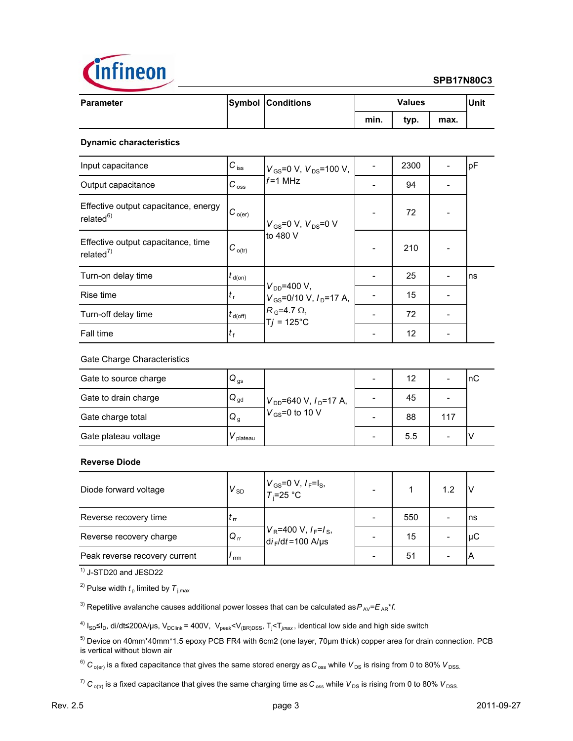

### **SPB17N80C3**

| <b>Parameter</b> | <b>Symbol Conditions</b> |      | <b>Values</b> |      | Unit |
|------------------|--------------------------|------|---------------|------|------|
|                  |                          | min. | typ.          | max. |      |

### **Dynamic characteristics**

| Input capacitance                                             | $C_{\text{iss}}$    | $V_{\rm GS}$ =0 V, $V_{\rm DS}$ =100 V,                                                                                     | 2300 | pF  |
|---------------------------------------------------------------|---------------------|-----------------------------------------------------------------------------------------------------------------------------|------|-----|
| Output capacitance                                            | $C_{\rm \,oss}$     | $f = 1$ MHz                                                                                                                 | 94   |     |
| Effective output capacitance, energy<br>related <sup>6)</sup> | $IC_{o(er)}$        | $V_{GS}$ =0 V, $V_{DS}$ =0 V<br>to 480 V                                                                                    | 72   |     |
| Effective output capacitance, time<br>related <sup>7)</sup>   | $C_{o(tr)}$         |                                                                                                                             | 210  |     |
| Turn-on delay time                                            | $t_{\text{d}(on)}$  |                                                                                                                             | 25   | Ins |
| Rise time                                                     | $t_{\rm r}$         | $V_{DD} = 400 V,$<br>$V_{\text{GS}}$ =0/10 V, $I_{\text{D}}$ =17 A,<br>$R_{\odot}$ =4.7 $\Omega$ ,<br>$T_i = 125^{\circ}$ C | 15   |     |
| Turn-off delay time                                           | $t_{\text{d(off)}}$ |                                                                                                                             | 72   |     |
| Fall time                                                     | $t_{\rm f}$         |                                                                                                                             | 12   |     |

### Gate Charge Characteristics

| Gate to source charge | $Q_{\text{gs}}$ |                               | 12  |     | nС |
|-----------------------|-----------------|-------------------------------|-----|-----|----|
| Gate to drain charge  | $Q_{\text{gd}}$ | $V_{DD}$ =640 V, $I_D$ =17 A, | 45  |     |    |
| Gate charge total     | $Q_{q}$         | $V_{GS}$ =0 to 10 V           | 88  | 117 |    |
| Gate plateau voltage  | plateau         |                               | 5.5 |     |    |

### **Reverse Diode**

| Diode forward voltage         | $V_{SD}$     | $V_{GS}$ =0 V, $I_F$ =l <sub>S</sub> ,<br>$T_i$ =25 °C                         |     | 1.2                      |     |
|-------------------------------|--------------|--------------------------------------------------------------------------------|-----|--------------------------|-----|
| Reverse recovery time         | $\mathbf{r}$ |                                                                                | 550 |                          | Ins |
| Reverse recovery charge       | $Q_{rr}$     | $V_R$ =400 V, $I_F$ = $I_S$ ,<br>d <i>i</i> <sub>F</sub> /d <i>t</i> =100 A/µs | 15  | $\overline{\phantom{a}}$ | μC  |
| Peak reverse recovery current | rrm          |                                                                                | 51  |                          |     |

 $\overline{1}$ <sup>1)</sup> J-STD20 and JESD22

<sup>2)</sup> Pulse width  $t<sub>p</sub>$  limited by  $T<sub>j,max</sub>$ 

<sup>3)</sup> Repetitive avalanche causes additional power losses that can be calculated as  $P_{AV} = E_{AR} * f$ .

<sup>4)</sup> I<sub>SD</sub>≤I<sub>D</sub>, di/dt≤200A/µs, V<sub>DClink</sub> = 400V, V<sub>peak</sub><V<sub>(BR)DSS</sub>, T<sub>j</sub><T<sub>*jmax*</sub>, identical low side and high side switch

5) Device on 40mm\*40mm\*1.5 epoxy PCB FR4 with 6cm2 (one layer, 70µm thick) copper area for drain connection. PCB is vertical without blown air

 $^6)$   $C_{o(er)}$  is a fixed capacitance that gives the same stored energy as  $C_{oss}$  while  $V_{DS}$  is rising from 0 to 80%  $V_{DSS}$ .

 $^7)$   $C_{\text{o(tr)}}$  is a fixed capacitance that gives the same charging time as  $C_{\text{oss}}$  while  $V_{\text{DS}}$  is rising from 0 to 80%  $V_{\text{DSS}}$ .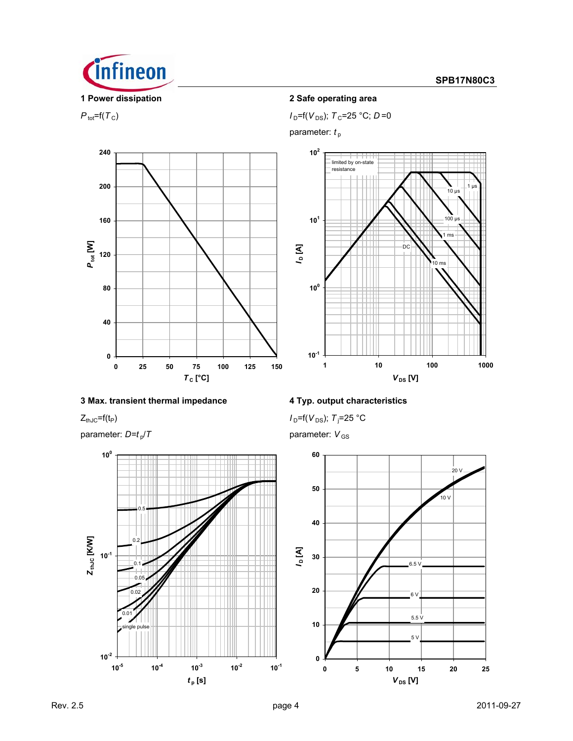

 $P_{\text{tot}}=f(T_{\text{C}})$  *I*<sub>D</sub>= $f(V_{\text{DS}})$ ; *T*<sub>C</sub>=25 °C; *D*=0

parameter:  $t_{\rm p}$ 





# **3 Max. transient thermal impedance 4 Typ. output characteristics**

parameter:  $D=t_p/T$  parameter:  $V_{GS}$ 



 $Z_{thJC}$ =f(t<sub>P</sub>) *I*  $_I$ =25 °C

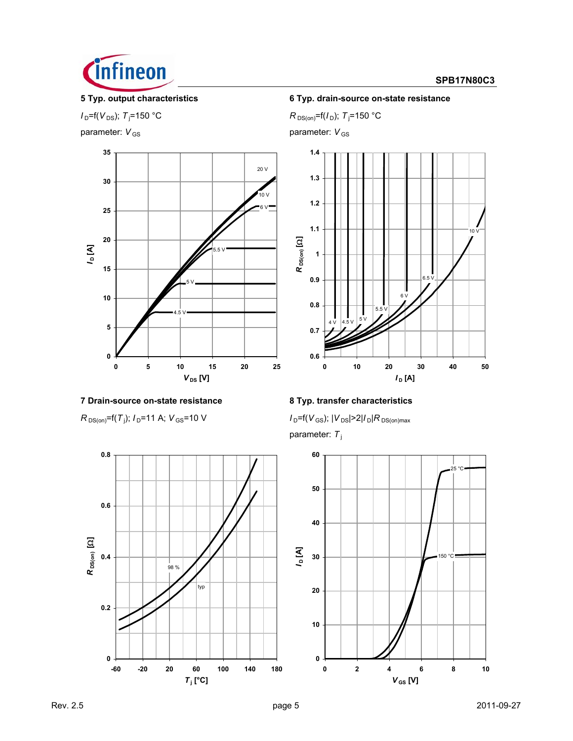

### **SPB17N80C3**

# $I_D = f(V_{DS})$ ; *T*<sub>j</sub>=150 °C

parameter:  $V_{GS}$  parameter: *V*<sub>GS</sub>



# **7 Drain-source on-state resistance 8 Typ. transfer characteristics**

 $R_{DS(on)}$ =f(*T*<sub>j</sub>);  $I_D$ =11 A;  $V_{GS}$ =10 V



# **5 Typ. output characteristics 6 Typ. drain-source on-state resistance**

=150 °C *R*  $_{\text{DS(on)}}$ =f( $I$ <sub>D</sub>);  $T$ <sub>j</sub>=150 °C





 $I_D$ =f( $V_{GS}$ );  $|V_{DS}|$ >2| $I_D$ | $R_{DS(on)max}$ parameter: *T* <sup>j</sup>

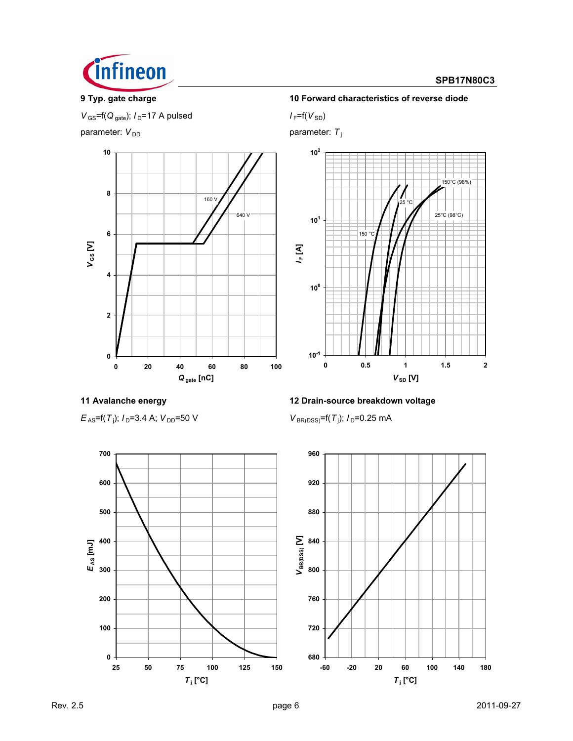

## **SPB17N80C3**

 $V_{\text{GS}}$ =f( $Q_{\text{gate}}$ );  $I_{\text{D}}$ =17 A pulsed *I* F=f( $V_{\text{SD}}$ )

parameter:  $V_{DD}$  parameter:  $T_j$ 



### **9 Typ. gate charge 10 Forward characteristics of reverse diode**



 $E_{AS}$ =f(*T*<sub>i</sub>); *I*<sub>D</sub>=3.4 A; *V*<sub>DD</sub>=50 V *V* BR(DSS)<sup>=f(*T*<sub>i</sub>)</sup>

# **11 Avalanche energy 12 Drain-source breakdown voltage**

 $V_{\text{BR(DSS)}} = f(T_i); I_D = 0.25 \text{ mA}$ 



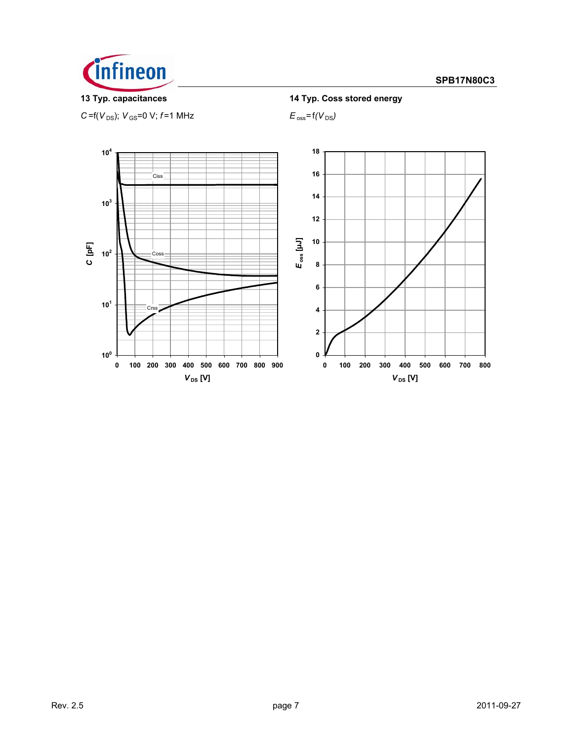

 $C = f(V_{DS})$ ;  $V_{GS} = 0$  V;  $f = 1$  MHz  $E_{oss} = f(V_{DS})$ 

**13 Typ. capacitances 14 Typ. Coss stored energy**

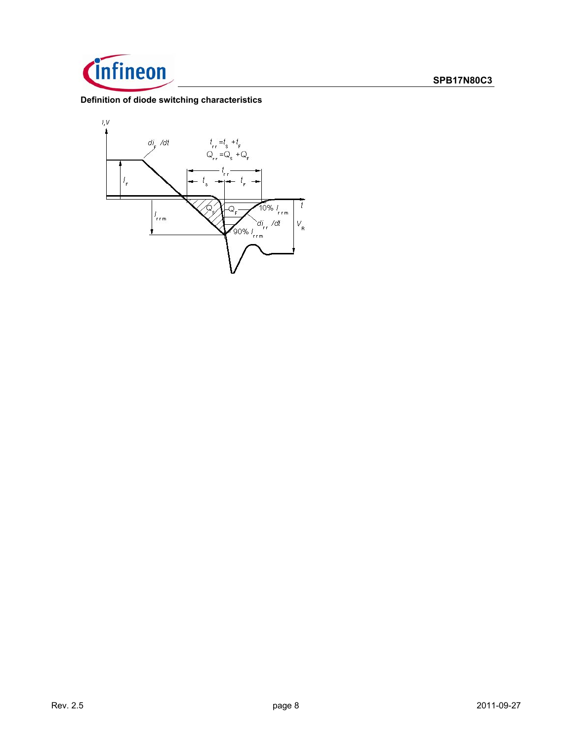

## **Definition of diode switching characteristics**

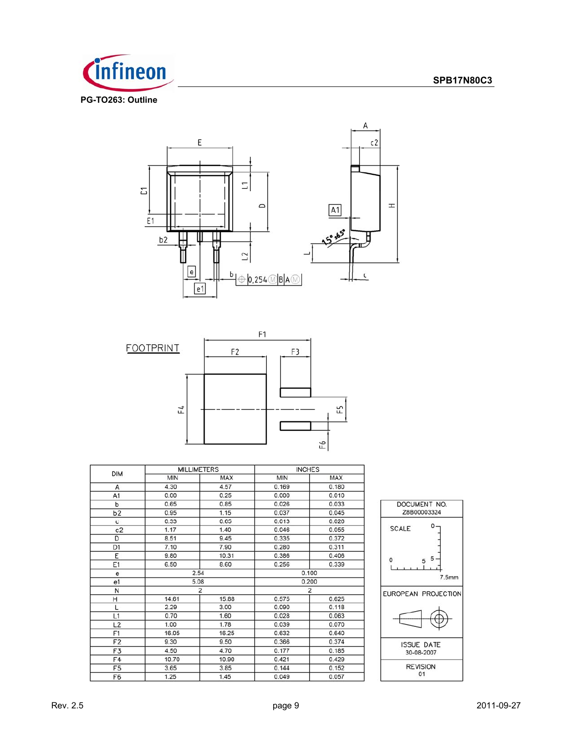







| <b>DIM</b>     | <b>MILLIMETERS</b> |                | <b>INCHES</b>  |            |  |
|----------------|--------------------|----------------|----------------|------------|--|
|                | <b>MIN</b>         | <b>MAX</b>     | <b>MIN</b>     | <b>MAX</b> |  |
| A              | 4.30               | 4.57           | 0.169          | 0.180      |  |
| A1             | 0.00               | 0.25           | 0.000          | 0.010      |  |
| ь              | 0.65               | 0.85           | 0.026          | 0.033      |  |
| b <sub>2</sub> | 0.95               | 1.15           | 0.037          | 0.045      |  |
| c              | 0.33               | 0.65           | 0.013          | 0.026      |  |
| c2             | 1.17               | 1.40           | 0.046          | 0.055      |  |
| D              | 8.51               | 9.45           | 0.335          | 0.372      |  |
| D <sub>1</sub> | 7.10               | 7.90           | 0.280          | 0.311      |  |
| E              | 9.80               | 10.31          | 0.386          | 0.406      |  |
| E1             | 6.50               | 8.60           | 0.256          | 0.339      |  |
| e              | 2.54               |                |                | 0.100      |  |
| e <sub>1</sub> | 5.08               |                |                | 0.200      |  |
| N              |                    | $\overline{2}$ | $\overline{2}$ |            |  |
| Η              | 14.61              | 15.88          | 0.575          | 0.625      |  |
|                | 2.29               | 3.00           | 0.090          | 0.118      |  |
| L1             | 0.70               | 1.60           | 0.028          | 0.063      |  |
| L2             | 1.00               | 1.78           | 0.039          | 0.070      |  |
| F1             | 16.05              | 16.25          | 0.632          | 0.640      |  |
| F <sub>2</sub> | 9.30               | 9.50           | 0.366          | 0.374      |  |
| F3             | 4.50               | 4.70           | 0.177          | 0.185      |  |
| F4             | 10.70              | 10.90          | 0.421          | 0.429      |  |
| F <sub>5</sub> | 3.65               | 3.85           | 0.144          | 0.152      |  |
| F6             | 1.25               | 1.45           | 0.049          | 0.057      |  |